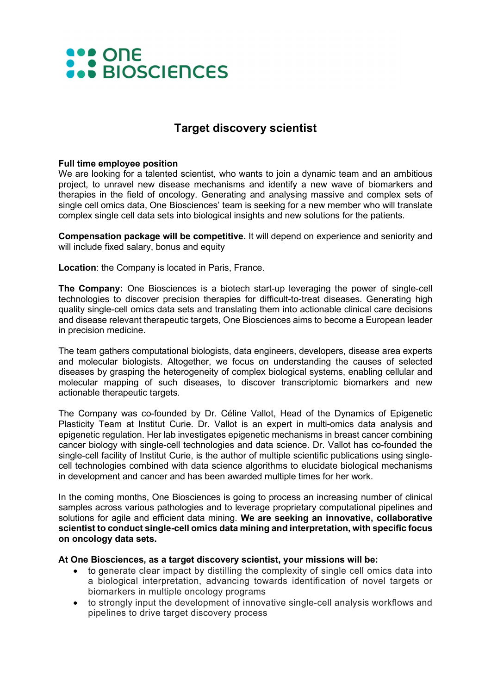# **AND ONE**<br> **AND BIOSCIENCES**

## Target discovery scientist

### Full time employee position

We are looking for a talented scientist, who wants to join a dynamic team and an ambitious project, to unravel new disease mechanisms and identify a new wave of biomarkers and therapies in the field of oncology. Generating and analysing massive and complex sets of single cell omics data, One Biosciences' team is seeking for a new member who will translate complex single cell data sets into biological insights and new solutions for the patients.

Compensation package will be competitive. It will depend on experience and seniority and will include fixed salary, bonus and equity

Location: the Company is located in Paris, France.

The Company: One Biosciences is a biotech start-up leveraging the power of single-cell technologies to discover precision therapies for difficult-to-treat diseases. Generating high quality single-cell omics data sets and translating them into actionable clinical care decisions and disease relevant therapeutic targets, One Biosciences aims to become a European leader in precision medicine.

The team gathers computational biologists, data engineers, developers, disease area experts and molecular biologists. Altogether, we focus on understanding the causes of selected diseases by grasping the heterogeneity of complex biological systems, enabling cellular and molecular mapping of such diseases, to discover transcriptomic biomarkers and new actionable therapeutic targets.

The Company was co-founded by Dr. Céline Vallot, Head of the Dynamics of Epigenetic Plasticity Team at Institut Curie. Dr. Vallot is an expert in multi-omics data analysis and epigenetic regulation. Her lab investigates epigenetic mechanisms in breast cancer combining cancer biology with single-cell technologies and data science. Dr. Vallot has co-founded the single-cell facility of Institut Curie, is the author of multiple scientific publications using singlecell technologies combined with data science algorithms to elucidate biological mechanisms in development and cancer and has been awarded multiple times for her work.

In the coming months, One Biosciences is going to process an increasing number of clinical samples across various pathologies and to leverage proprietary computational pipelines and solutions for agile and efficient data mining. We are seeking an innovative, collaborative scientist to conduct single-cell omics data mining and interpretation, with specific focus on oncology data sets.

#### At One Biosciences, as a target discovery scientist, your missions will be:

- to generate clear impact by distilling the complexity of single cell omics data into a biological interpretation, advancing towards identification of novel targets or biomarkers in multiple oncology programs
- to strongly input the development of innovative single-cell analysis workflows and pipelines to drive target discovery process